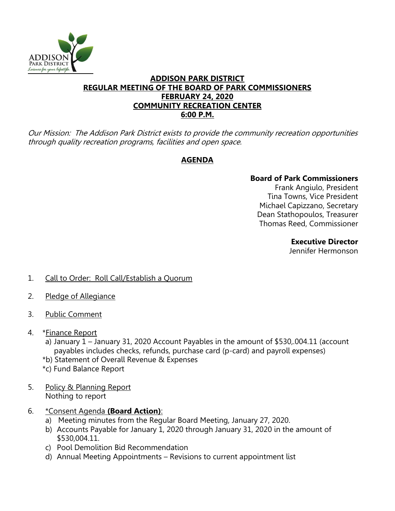

### **ADDISON PARK DISTRICT REGULAR MEETING OF THE BOARD OF PARK COMMISSIONERS FEBRUARY 24, 2020 COMMUNITY RECREATION CENTER 6:00 P.M.**

Our Mission: The Addison Park District exists to provide the community recreation opportunities through quality recreation programs, facilities and open space.

# **AGENDA**

# **Board of Park Commissioners**

Frank Angiulo, President Tina Towns, Vice President Michael Capizzano, Secretary Dean Stathopoulos, Treasurer Thomas Reed, Commissioner

### **Executive Director**

Jennifer Hermonson

- 1. Call to Order: Roll Call/Establish a Quorum
- 2. Pledge of Allegiance
- 3. Public Comment
- 4. \*Finance Report
	- a) January 1 January 31, 2020 Account Payables in the amount of \$530,.004.11 (account payables includes checks, refunds, purchase card (p-card) and payroll expenses)
	- \*b) Statement of Overall Revenue & Expenses
	- \*c) Fund Balance Report
- 5. Policy & Planning Report Nothing to report
- 6. \*Consent Agenda **(Board Action)**:
	- a) Meeting minutes from the Regular Board Meeting, January 27, 2020.
	- b) Accounts Payable for January 1, 2020 through January 31, 2020 in the amount of \$530,004.11.
	- c) Pool Demolition Bid Recommendation
	- d) Annual Meeting Appointments Revisions to current appointment list